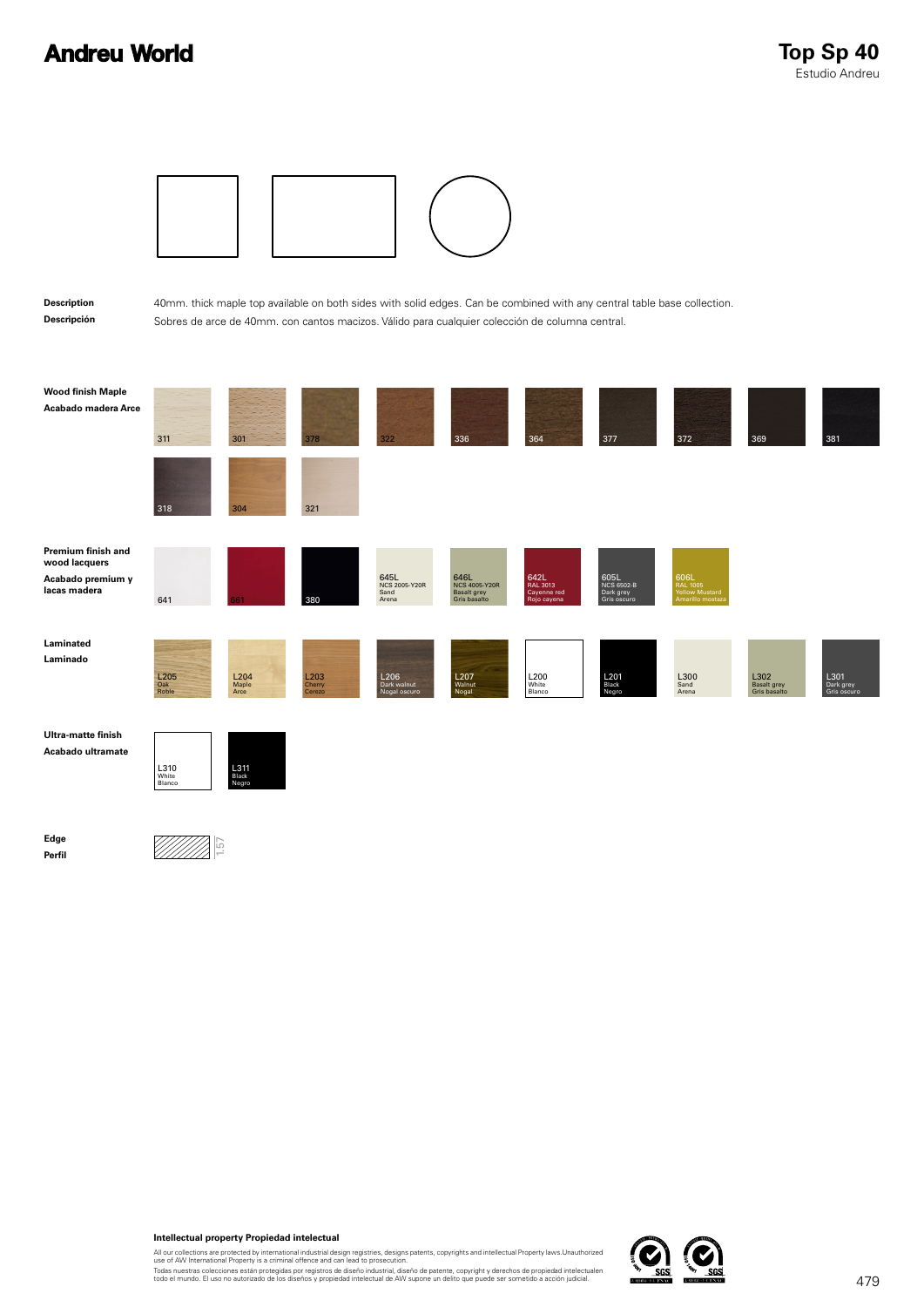## **Andreu World**



## **Intellectual property Propiedad intelectual**

All our collections are protected by international industrial design registries, designs patents, copyrights and intellectual Property laws.Unauthorized<br>use of AW International Property is a criminal offence and can lead t

Todas nuestras colecciones están protegidas por registros de diseño industrial, diseño de patente, copyright y derechos de propiedad intelectualen<br>todo el mundo. El uso no autorizado de los diseños y propiedad intelectual